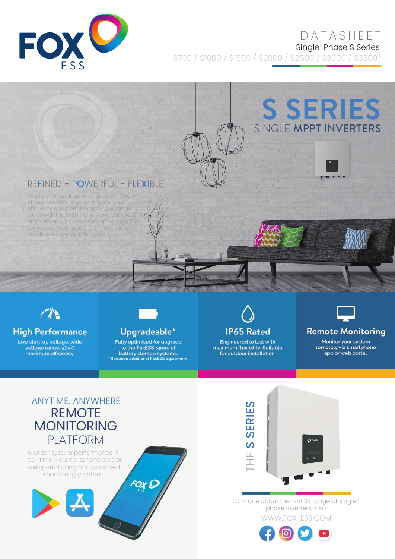

# DATASHEET

Single-Phase S Series

S700 / S1000 / S1500 / S2000 / S2500 / S3000 / S3300\*

# **S SERIES** SINGLE MPPT INVERTERS

## REFINED - POWERFUL - FLEXIBLE



## **High Performance**

Low start-up voltage, wide voltage range, 97.4%<br>maximum efficiency.



#### Upgradeable\*

Fully optimised for upgrade to the FoxESS range of battery storage systems.<br>Requires additional FoxESS equipment



Engineered to last with maximum flexibility. Suitable<br>for outdoor installation.



#### **Remote Monitoring**

Monitor your system remotely via smartphone app or web portal.

# ANYTIME, ANYWHERE REMOTE MONITORING PLATFORM

Monitor system performance in real-time via smartphone app or web portal using our advanced monitoring platform.





WWW.FOX-ESS.COM For more about the FoxESS range of singlephase inverters, visit: